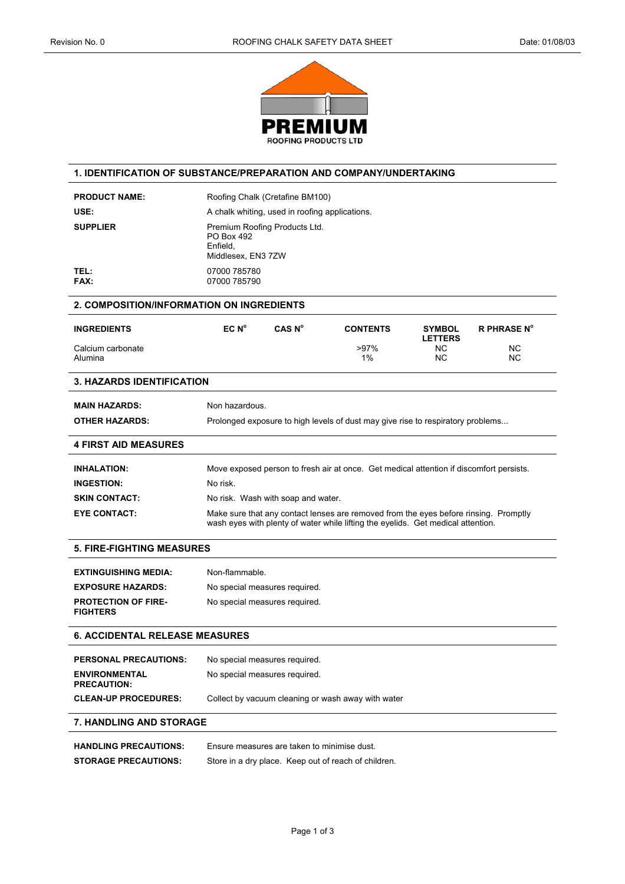

# **1. IDENTIFICATION OF SUBSTANCE/PREPARATION AND COMPANY/UNDERTAKING**

| <b>PRODUCT NAME:</b> | Roofing Chalk (Cretafine BM100)                                               |
|----------------------|-------------------------------------------------------------------------------|
| USE:                 | A chalk whiting, used in roofing applications.                                |
| <b>SUPPLIER</b>      | Premium Roofing Products Ltd.<br>PO Box 492<br>Enfield.<br>Middlesex, EN3 7ZW |
| TEL:<br><b>FAX:</b>  | 07000 785780<br>07000 785790                                                  |

| 2. COMPOSITION/INFORMATION ON INGREDIENTS |                   |                    |                 |                                 |                        |
|-------------------------------------------|-------------------|--------------------|-----------------|---------------------------------|------------------------|
| <b>INGREDIENTS</b>                        | EC N <sup>o</sup> | CAS N <sup>o</sup> | <b>CONTENTS</b> | <b>SYMBOL</b><br><b>LETTERS</b> | <b>R PHRASE N°</b>     |
| Calcium carbonate<br>Alumina              |                   |                    | $>97\%$<br>1%   | ΝC<br>ΝC                        | <b>NC</b><br><b>NC</b> |

#### **3. HAZARDS IDENTIFICATION**

**MAIN HAZARDS:** Non hazardous.

**4 FIRST AID MEASURES** 

# **OTHER HAZARDS:** Prolonged exposure to high levels of dust may give rise to respiratory problems...

| <b>INHALATION:</b>   | Move exposed person to fresh air at once. Get medical attention if discomfort persists.                                                                                  |
|----------------------|--------------------------------------------------------------------------------------------------------------------------------------------------------------------------|
| <b>INGESTION:</b>    | No risk.                                                                                                                                                                 |
| <b>SKIN CONTACT:</b> | No risk. Wash with soap and water.                                                                                                                                       |
| <b>EYE CONTACT:</b>  | Make sure that any contact lenses are removed from the eyes before rinsing. Promptly<br>wash eyes with plenty of water while lifting the eyelids. Get medical attention. |

#### **5. FIRE-FIGHTING MEASURES**

| <b>EXTINGUISHING MEDIA:</b>                   | Non-flammable.                |
|-----------------------------------------------|-------------------------------|
| <b>EXPOSURE HAZARDS:</b>                      | No special measures required. |
| <b>PROTECTION OF FIRE-</b><br><b>FIGHTERS</b> | No special measures required. |

#### **6. ACCIDENTAL RELEASE MEASURES**

| <b>PERSONAL PRECAUTIONS:</b>               | No special measures required.                      |
|--------------------------------------------|----------------------------------------------------|
| <b>ENVIRONMENTAL</b><br><b>PRECAUTION:</b> | No special measures required.                      |
| <b>CLEAN-UP PROCEDURES:</b>                | Collect by vacuum cleaning or wash away with water |

#### **7. HANDLING AND STORAGE**

| <b>HANDLING PRECAUTIONS:</b> | Ensure measures are taken to minimise dust.          |
|------------------------------|------------------------------------------------------|
| <b>STORAGE PRECAUTIONS:</b>  | Store in a dry place. Keep out of reach of children. |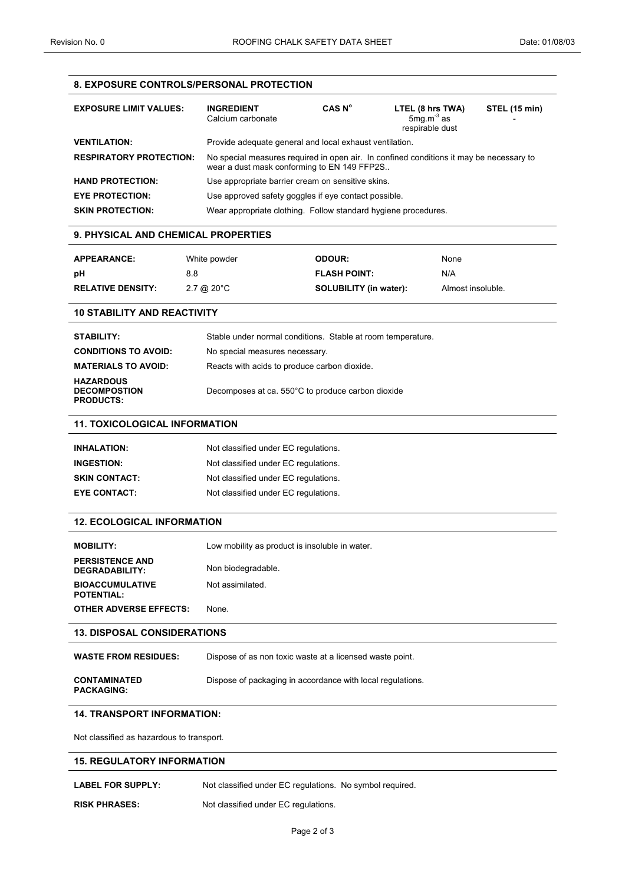# **8. EXPOSURE CONTROLS/PERSONAL PROTECTION**

| <b>EXPOSURE LIMIT VALUES:</b>  | <b>INGREDIENT</b><br>Calcium carbonate                                                                                                 | CAS N <sup>o</sup> | LTEL (8 hrs TWA)<br>$5$ mq.m $3$ as<br>respirable dust | STEL (15 min) |
|--------------------------------|----------------------------------------------------------------------------------------------------------------------------------------|--------------------|--------------------------------------------------------|---------------|
| <b>VENTILATION:</b>            | Provide adequate general and local exhaust ventilation.                                                                                |                    |                                                        |               |
| <b>RESPIRATORY PROTECTION:</b> | No special measures required in open air. In confined conditions it may be necessary to<br>wear a dust mask conforming to EN 149 FFP2S |                    |                                                        |               |
| <b>HAND PROTECTION:</b>        | Use appropriate barrier cream on sensitive skins.                                                                                      |                    |                                                        |               |
| <b>EYE PROTECTION:</b>         | Use approved safety goggles if eye contact possible.                                                                                   |                    |                                                        |               |
| <b>SKIN PROTECTION:</b>        | Wear appropriate clothing. Follow standard hygiene procedures.                                                                         |                    |                                                        |               |

### **9. PHYSICAL AND CHEMICAL PROPERTIES**

| <b>APPEARANCE:</b>       | White powder                  | <b>ODOUR:</b>                 | None              |
|--------------------------|-------------------------------|-------------------------------|-------------------|
| рH                       | 8.8                           | <b>FLASH POINT:</b>           | N/A               |
| <b>RELATIVE DENSITY:</b> | $2.7 \text{ @ } 20^{\circ}$ C | <b>SOLUBILITY (in water):</b> | Almost insoluble. |

#### **10 STABILITY AND REACTIVITY**

| <b>STABILITY:</b>                                           | Stable under normal conditions. Stable at room temperature. |
|-------------------------------------------------------------|-------------------------------------------------------------|
| <b>CONDITIONS TO AVOID:</b>                                 | No special measures necessary.                              |
| <b>MATERIALS TO AVOID:</b>                                  | Reacts with acids to produce carbon dioxide.                |
| <b>HAZARDOUS</b><br><b>DECOMPOSTION</b><br><b>PRODUCTS:</b> | Decomposes at ca. 550°C to produce carbon dioxide           |

## **11. TOXICOLOGICAL INFORMATION**

| <b>INHALATION:</b>   | Not classified under EC regulations. |
|----------------------|--------------------------------------|
| <b>INGESTION:</b>    | Not classified under EC regulations. |
| <b>SKIN CONTACT:</b> | Not classified under EC regulations. |
| <b>EYE CONTACT:</b>  | Not classified under EC regulations. |

# **12. ECOLOGICAL INFORMATION**

| <b>MOBILITY:</b>                            | Low mobility as product is insoluble in water. |
|---------------------------------------------|------------------------------------------------|
| <b>PERSISTENCE AND</b><br>DEGRADABILITY:    | Non biodegradable.                             |
| <b>BIOACCUMULATIVE</b><br><b>POTENTIAL:</b> | Not assimilated.                               |
| <b>OTHER ADVERSE EFFECTS:</b>               | None.                                          |

#### **13. DISPOSAL CONSIDERATIONS**

| <b>WASTE FROM RESIDUES:</b>              | Dispose of as non toxic waste at a licensed waste point.   |
|------------------------------------------|------------------------------------------------------------|
| <b>CONTAMINATED</b><br><b>PACKAGING:</b> | Dispose of packaging in accordance with local regulations. |

## **14. TRANSPORT INFORMATION:**

Not classified as hazardous to transport.

#### **15. REGULATORY INFORMATION**

- LABEL FOR SUPPLY: Not classified under EC regulations. No symbol required.
- **RISK PHRASES:** Not classified under EC regulations.
	-